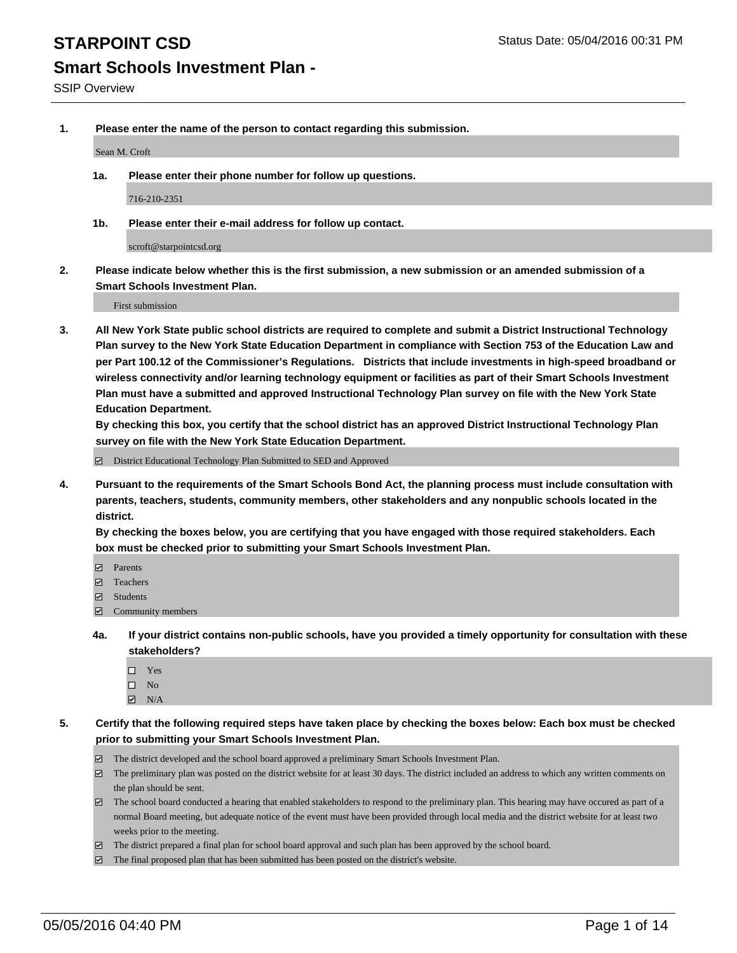**1. Please enter the name of the person to contact regarding this submission.**

Sean M. Croft

**1a. Please enter their phone number for follow up questions.**

716-210-2351

**1b. Please enter their e-mail address for follow up contact.**

scroft@starpointcsd.org

**2. Please indicate below whether this is the first submission, a new submission or an amended submission of a Smart Schools Investment Plan.**

First submission

**3. All New York State public school districts are required to complete and submit a District Instructional Technology Plan survey to the New York State Education Department in compliance with Section 753 of the Education Law and per Part 100.12 of the Commissioner's Regulations. Districts that include investments in high-speed broadband or wireless connectivity and/or learning technology equipment or facilities as part of their Smart Schools Investment Plan must have a submitted and approved Instructional Technology Plan survey on file with the New York State Education Department.** 

**By checking this box, you certify that the school district has an approved District Instructional Technology Plan survey on file with the New York State Education Department.**

■ District Educational Technology Plan Submitted to SED and Approved

**4. Pursuant to the requirements of the Smart Schools Bond Act, the planning process must include consultation with parents, teachers, students, community members, other stakeholders and any nonpublic schools located in the district.** 

**By checking the boxes below, you are certifying that you have engaged with those required stakeholders. Each box must be checked prior to submitting your Smart Schools Investment Plan.**

- **Parents**
- □ Teachers
- Students
- $\boxdot$  Community members
- **4a. If your district contains non-public schools, have you provided a timely opportunity for consultation with these stakeholders?**
	- □ Yes
	- $\square$  No
	- $\boxtimes$  N/A
- **5. Certify that the following required steps have taken place by checking the boxes below: Each box must be checked prior to submitting your Smart Schools Investment Plan.**
	- The district developed and the school board approved a preliminary Smart Schools Investment Plan.
	- The preliminary plan was posted on the district website for at least 30 days. The district included an address to which any written comments on the plan should be sent.
	- $\Box$  The school board conducted a hearing that enabled stakeholders to respond to the preliminary plan. This hearing may have occured as part of a normal Board meeting, but adequate notice of the event must have been provided through local media and the district website for at least two weeks prior to the meeting.
	- The district prepared a final plan for school board approval and such plan has been approved by the school board.
	- The final proposed plan that has been submitted has been posted on the district's website.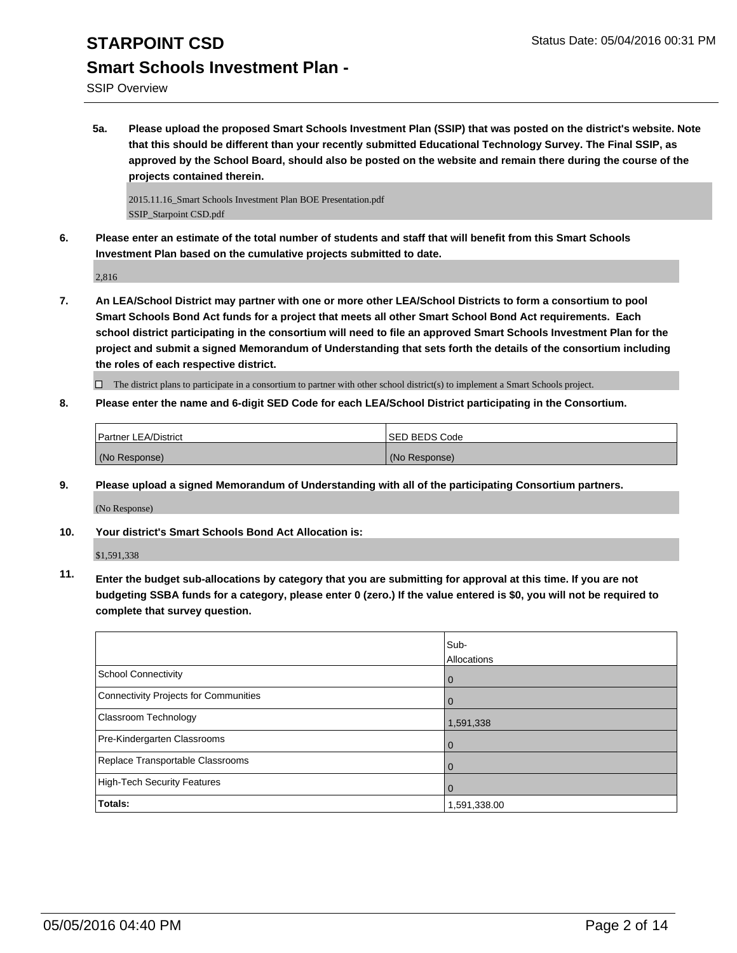SSIP Overview

**5a. Please upload the proposed Smart Schools Investment Plan (SSIP) that was posted on the district's website. Note that this should be different than your recently submitted Educational Technology Survey. The Final SSIP, as approved by the School Board, should also be posted on the website and remain there during the course of the projects contained therein.**

2015.11.16\_Smart Schools Investment Plan BOE Presentation.pdf SSIP\_Starpoint CSD.pdf

**6. Please enter an estimate of the total number of students and staff that will benefit from this Smart Schools Investment Plan based on the cumulative projects submitted to date.**

2,816

**7. An LEA/School District may partner with one or more other LEA/School Districts to form a consortium to pool Smart Schools Bond Act funds for a project that meets all other Smart School Bond Act requirements. Each school district participating in the consortium will need to file an approved Smart Schools Investment Plan for the project and submit a signed Memorandum of Understanding that sets forth the details of the consortium including the roles of each respective district.**

 $\Box$  The district plans to participate in a consortium to partner with other school district(s) to implement a Smart Schools project.

**8. Please enter the name and 6-digit SED Code for each LEA/School District participating in the Consortium.**

| <b>Partner LEA/District</b> | <b>ISED BEDS Code</b> |
|-----------------------------|-----------------------|
| (No Response)               | (No Response)         |

**9. Please upload a signed Memorandum of Understanding with all of the participating Consortium partners.**

(No Response)

**10. Your district's Smart Schools Bond Act Allocation is:**

\$1,591,338

**11. Enter the budget sub-allocations by category that you are submitting for approval at this time. If you are not budgeting SSBA funds for a category, please enter 0 (zero.) If the value entered is \$0, you will not be required to complete that survey question.**

|                                       | Sub-<br>Allocations |
|---------------------------------------|---------------------|
| School Connectivity                   | $\mathbf 0$         |
| Connectivity Projects for Communities |                     |
| <b>Classroom Technology</b>           | 1,591,338           |
| Pre-Kindergarten Classrooms           |                     |
| Replace Transportable Classrooms      | O                   |
| High-Tech Security Features           |                     |
| Totals:                               | 1,591,338.00        |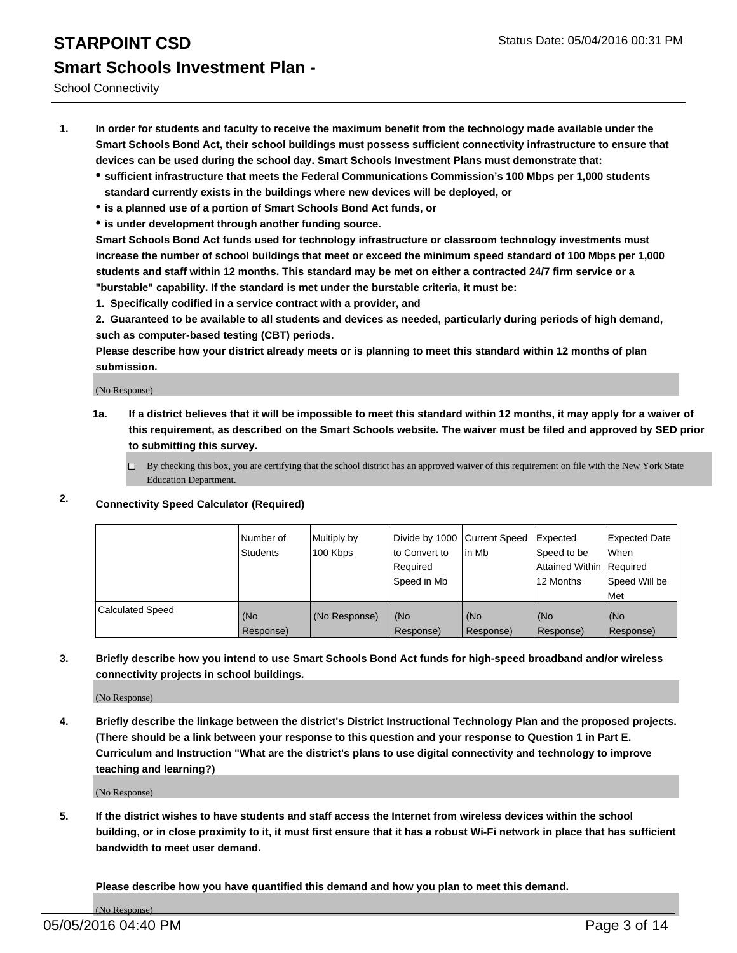School Connectivity

- **1. In order for students and faculty to receive the maximum benefit from the technology made available under the Smart Schools Bond Act, their school buildings must possess sufficient connectivity infrastructure to ensure that devices can be used during the school day. Smart Schools Investment Plans must demonstrate that:**
	- **sufficient infrastructure that meets the Federal Communications Commission's 100 Mbps per 1,000 students standard currently exists in the buildings where new devices will be deployed, or**
	- **is a planned use of a portion of Smart Schools Bond Act funds, or**
	- **is under development through another funding source.**

**Smart Schools Bond Act funds used for technology infrastructure or classroom technology investments must increase the number of school buildings that meet or exceed the minimum speed standard of 100 Mbps per 1,000 students and staff within 12 months. This standard may be met on either a contracted 24/7 firm service or a "burstable" capability. If the standard is met under the burstable criteria, it must be:**

**1. Specifically codified in a service contract with a provider, and**

**2. Guaranteed to be available to all students and devices as needed, particularly during periods of high demand, such as computer-based testing (CBT) periods.**

**Please describe how your district already meets or is planning to meet this standard within 12 months of plan submission.**

(No Response)

- **1a. If a district believes that it will be impossible to meet this standard within 12 months, it may apply for a waiver of this requirement, as described on the Smart Schools website. The waiver must be filed and approved by SED prior to submitting this survey.**
	- □ By checking this box, you are certifying that the school district has an approved waiver of this requirement on file with the New York State Education Department.
- **2. Connectivity Speed Calculator (Required)**

|                         | Number of<br>Students | Multiply by<br>100 Kbps | Divide by 1000 Current Speed<br>to Convert to<br>Reauired<br>Speed in Mb | lin Mb             | Expected<br>Speed to be<br>Attained Within   Required<br>12 Months | <b>Expected Date</b><br>l When<br>Speed Will be<br>l Met |
|-------------------------|-----------------------|-------------------------|--------------------------------------------------------------------------|--------------------|--------------------------------------------------------------------|----------------------------------------------------------|
| <b>Calculated Speed</b> | (No<br>Response)      | (No Response)           | (No<br>Response)                                                         | l (No<br>Response) | (No<br>Response)                                                   | l (No<br>Response)                                       |

### **3. Briefly describe how you intend to use Smart Schools Bond Act funds for high-speed broadband and/or wireless connectivity projects in school buildings.**

(No Response)

**4. Briefly describe the linkage between the district's District Instructional Technology Plan and the proposed projects. (There should be a link between your response to this question and your response to Question 1 in Part E. Curriculum and Instruction "What are the district's plans to use digital connectivity and technology to improve teaching and learning?)**

(No Response)

**5. If the district wishes to have students and staff access the Internet from wireless devices within the school building, or in close proximity to it, it must first ensure that it has a robust Wi-Fi network in place that has sufficient bandwidth to meet user demand.**

**Please describe how you have quantified this demand and how you plan to meet this demand.**

(No Response)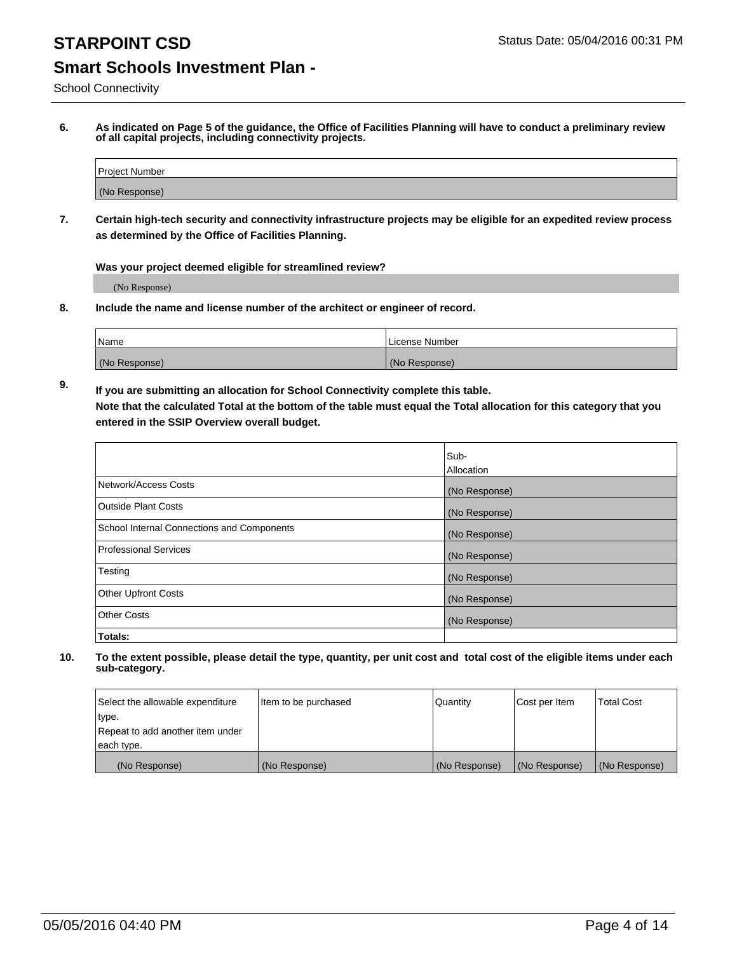School Connectivity

**6. As indicated on Page 5 of the guidance, the Office of Facilities Planning will have to conduct a preliminary review of all capital projects, including connectivity projects.**

| Project Number |  |
|----------------|--|
| (No Response)  |  |

**7. Certain high-tech security and connectivity infrastructure projects may be eligible for an expedited review process as determined by the Office of Facilities Planning.**

**Was your project deemed eligible for streamlined review?**

(No Response)

**8. Include the name and license number of the architect or engineer of record.**

| Name          | l License Number |
|---------------|------------------|
| (No Response) | (No Response)    |

**9. If you are submitting an allocation for School Connectivity complete this table. Note that the calculated Total at the bottom of the table must equal the Total allocation for this category that you entered in the SSIP Overview overall budget.** 

|                                            | Sub-              |
|--------------------------------------------|-------------------|
|                                            | <b>Allocation</b> |
| Network/Access Costs                       | (No Response)     |
| <b>Outside Plant Costs</b>                 | (No Response)     |
| School Internal Connections and Components | (No Response)     |
| <b>Professional Services</b>               | (No Response)     |
| Testing                                    | (No Response)     |
| <b>Other Upfront Costs</b>                 | (No Response)     |
| <b>Other Costs</b>                         | (No Response)     |
| Totals:                                    |                   |

| Select the allowable expenditure | Item to be purchased | Quantity      | Cost per Item | Total Cost    |
|----------------------------------|----------------------|---------------|---------------|---------------|
| type.                            |                      |               |               |               |
| Repeat to add another item under |                      |               |               |               |
| each type.                       |                      |               |               |               |
| (No Response)                    | (No Response)        | (No Response) | (No Response) | (No Response) |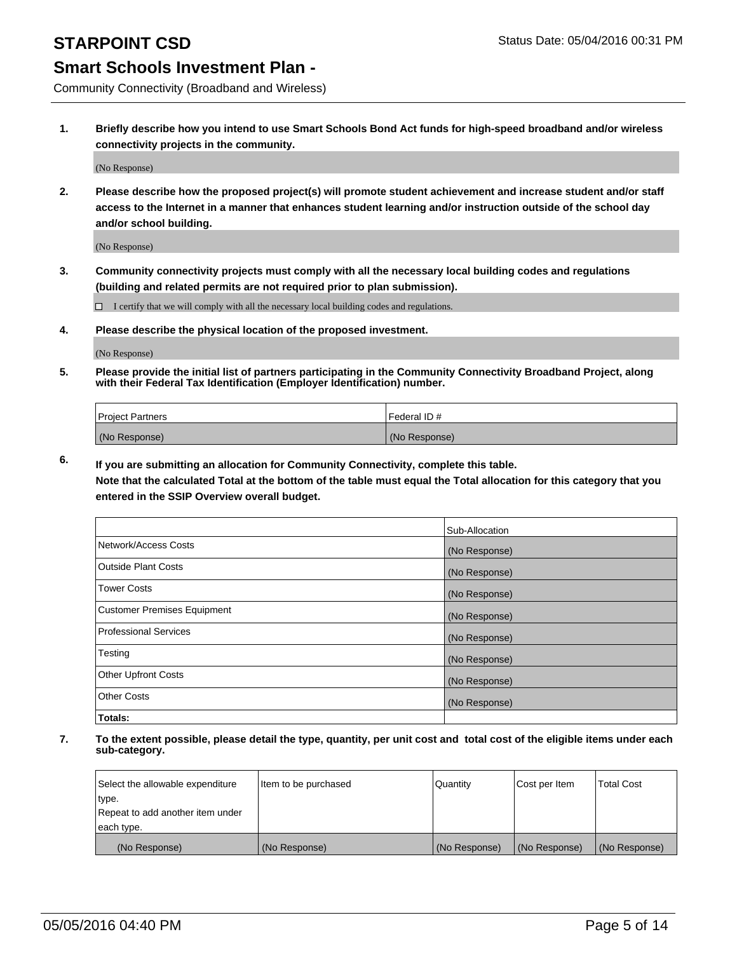Community Connectivity (Broadband and Wireless)

**1. Briefly describe how you intend to use Smart Schools Bond Act funds for high-speed broadband and/or wireless connectivity projects in the community.**

(No Response)

**2. Please describe how the proposed project(s) will promote student achievement and increase student and/or staff access to the Internet in a manner that enhances student learning and/or instruction outside of the school day and/or school building.**

(No Response)

**3. Community connectivity projects must comply with all the necessary local building codes and regulations (building and related permits are not required prior to plan submission).**

 $\Box$  I certify that we will comply with all the necessary local building codes and regulations.

**4. Please describe the physical location of the proposed investment.**

(No Response)

**5. Please provide the initial list of partners participating in the Community Connectivity Broadband Project, along with their Federal Tax Identification (Employer Identification) number.**

| <b>Project Partners</b> | I Federal ID # |
|-------------------------|----------------|
| (No Response)           | (No Response)  |

**6. If you are submitting an allocation for Community Connectivity, complete this table.**

**Note that the calculated Total at the bottom of the table must equal the Total allocation for this category that you entered in the SSIP Overview overall budget.**

|                                    | Sub-Allocation |
|------------------------------------|----------------|
| Network/Access Costs               | (No Response)  |
| Outside Plant Costs                | (No Response)  |
| <b>Tower Costs</b>                 | (No Response)  |
| <b>Customer Premises Equipment</b> | (No Response)  |
| Professional Services              | (No Response)  |
| Testing                            | (No Response)  |
| <b>Other Upfront Costs</b>         | (No Response)  |
| Other Costs                        | (No Response)  |
| Totals:                            |                |

| Select the allowable expenditure | Item to be purchased | l Quantitv    | Cost per Item | <b>Total Cost</b> |
|----------------------------------|----------------------|---------------|---------------|-------------------|
| type.                            |                      |               |               |                   |
| Repeat to add another item under |                      |               |               |                   |
| each type.                       |                      |               |               |                   |
| (No Response)                    | (No Response)        | (No Response) | (No Response) | (No Response)     |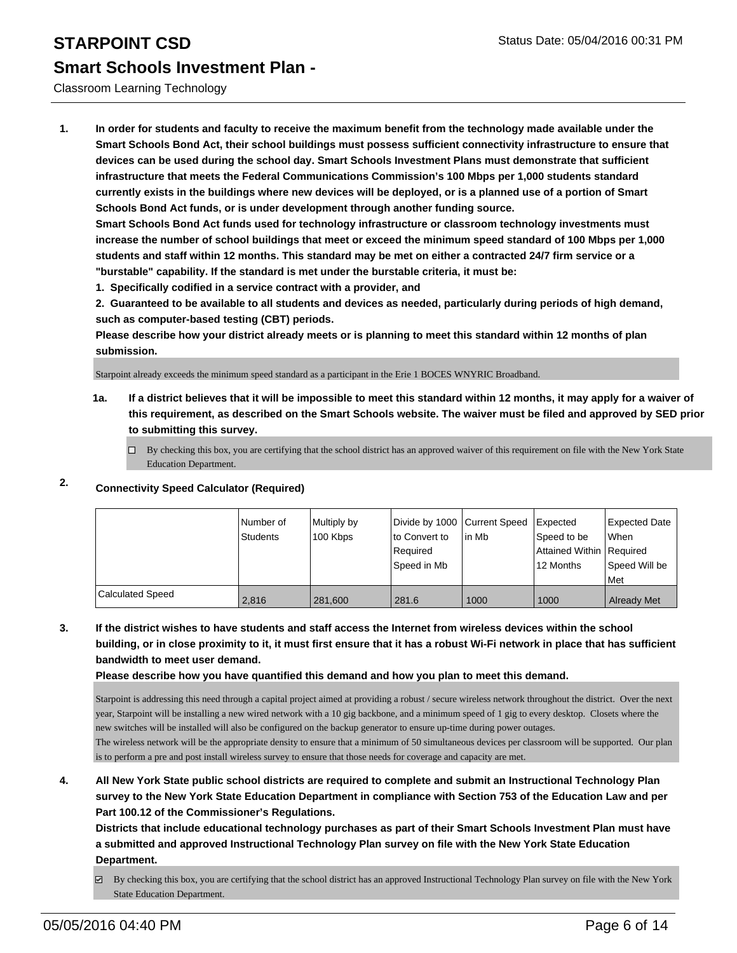### Classroom Learning Technology

**1. In order for students and faculty to receive the maximum benefit from the technology made available under the Smart Schools Bond Act, their school buildings must possess sufficient connectivity infrastructure to ensure that devices can be used during the school day. Smart Schools Investment Plans must demonstrate that sufficient infrastructure that meets the Federal Communications Commission's 100 Mbps per 1,000 students standard currently exists in the buildings where new devices will be deployed, or is a planned use of a portion of Smart Schools Bond Act funds, or is under development through another funding source.**

**Smart Schools Bond Act funds used for technology infrastructure or classroom technology investments must increase the number of school buildings that meet or exceed the minimum speed standard of 100 Mbps per 1,000 students and staff within 12 months. This standard may be met on either a contracted 24/7 firm service or a "burstable" capability. If the standard is met under the burstable criteria, it must be:**

**1. Specifically codified in a service contract with a provider, and**

**2. Guaranteed to be available to all students and devices as needed, particularly during periods of high demand, such as computer-based testing (CBT) periods.**

**Please describe how your district already meets or is planning to meet this standard within 12 months of plan submission.**

Starpoint already exceeds the minimum speed standard as a participant in the Erie 1 BOCES WNYRIC Broadband.

**1a. If a district believes that it will be impossible to meet this standard within 12 months, it may apply for a waiver of this requirement, as described on the Smart Schools website. The waiver must be filed and approved by SED prior to submitting this survey.**

 $\Box$  By checking this box, you are certifying that the school district has an approved waiver of this requirement on file with the New York State Education Department.

## **2. Connectivity Speed Calculator (Required)**

|                         | INumber of<br>Students | Multiply by<br>100 Kbps | Divide by 1000 Current Speed<br>lto Convert to<br>Reauired<br>Speed in Mb | lin Mb | <b>I</b> Expected<br>Speed to be<br>Attained Within   Required<br>12 Months | Expected Date<br>When<br>Speed Will be<br>l Met |
|-------------------------|------------------------|-------------------------|---------------------------------------------------------------------------|--------|-----------------------------------------------------------------------------|-------------------------------------------------|
| <b>Calculated Speed</b> | 2.816                  | 281,600                 | 281.6                                                                     | 1000   | 1000                                                                        | <b>Already Met</b>                              |

**3. If the district wishes to have students and staff access the Internet from wireless devices within the school building, or in close proximity to it, it must first ensure that it has a robust Wi-Fi network in place that has sufficient bandwidth to meet user demand.**

**Please describe how you have quantified this demand and how you plan to meet this demand.**

Starpoint is addressing this need through a capital project aimed at providing a robust / secure wireless network throughout the district. Over the next year, Starpoint will be installing a new wired network with a 10 gig backbone, and a minimum speed of 1 gig to every desktop. Closets where the new switches will be installed will also be configured on the backup generator to ensure up-time during power outages.

The wireless network will be the appropriate density to ensure that a minimum of 50 simultaneous devices per classroom will be supported. Our plan is to perform a pre and post install wireless survey to ensure that those needs for coverage and capacity are met.

**4. All New York State public school districts are required to complete and submit an Instructional Technology Plan survey to the New York State Education Department in compliance with Section 753 of the Education Law and per Part 100.12 of the Commissioner's Regulations.**

**Districts that include educational technology purchases as part of their Smart Schools Investment Plan must have a submitted and approved Instructional Technology Plan survey on file with the New York State Education Department.**

By checking this box, you are certifying that the school district has an approved Instructional Technology Plan survey on file with the New York State Education Department.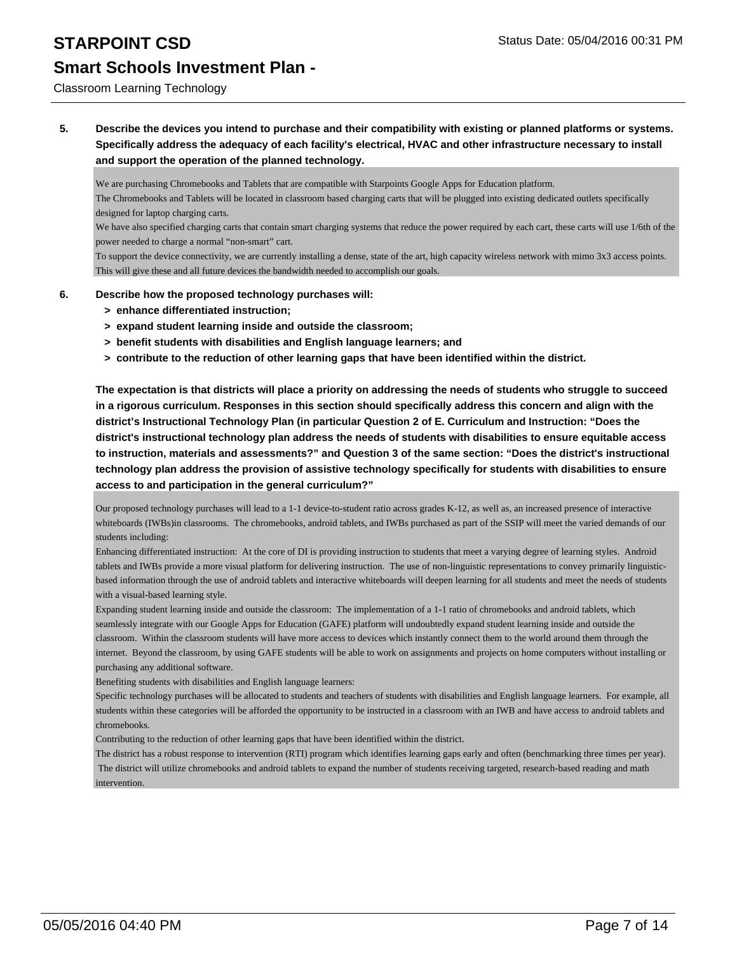# **STARPOINT CSD** Status Date: 05/04/2016 00:31 PM

# **Smart Schools Investment Plan -**

### Classroom Learning Technology

**5. Describe the devices you intend to purchase and their compatibility with existing or planned platforms or systems. Specifically address the adequacy of each facility's electrical, HVAC and other infrastructure necessary to install and support the operation of the planned technology.**

We are purchasing Chromebooks and Tablets that are compatible with Starpoints Google Apps for Education platform.

The Chromebooks and Tablets will be located in classroom based charging carts that will be plugged into existing dedicated outlets specifically designed for laptop charging carts.

We have also specified charging carts that contain smart charging systems that reduce the power required by each cart, these carts will use 1/6th of the power needed to charge a normal "non-smart" cart.

To support the device connectivity, we are currently installing a dense, state of the art, high capacity wireless network with mimo 3x3 access points. This will give these and all future devices the bandwidth needed to accomplish our goals.

- **6. Describe how the proposed technology purchases will:**
	- **> enhance differentiated instruction;**
	- **> expand student learning inside and outside the classroom;**
	- **> benefit students with disabilities and English language learners; and**
	- **> contribute to the reduction of other learning gaps that have been identified within the district.**

**The expectation is that districts will place a priority on addressing the needs of students who struggle to succeed in a rigorous curriculum. Responses in this section should specifically address this concern and align with the district's Instructional Technology Plan (in particular Question 2 of E. Curriculum and Instruction: "Does the district's instructional technology plan address the needs of students with disabilities to ensure equitable access to instruction, materials and assessments?" and Question 3 of the same section: "Does the district's instructional technology plan address the provision of assistive technology specifically for students with disabilities to ensure access to and participation in the general curriculum?"**

Our proposed technology purchases will lead to a 1-1 device-to-student ratio across grades K-12, as well as, an increased presence of interactive whiteboards (IWBs)in classrooms. The chromebooks, android tablets, and IWBs purchased as part of the SSIP will meet the varied demands of our students including:

Enhancing differentiated instruction: At the core of DI is providing instruction to students that meet a varying degree of learning styles. Android tablets and IWBs provide a more visual platform for delivering instruction. The use of non-linguistic representations to convey primarily linguisticbased information through the use of android tablets and interactive whiteboards will deepen learning for all students and meet the needs of students with a visual-based learning style.

Expanding student learning inside and outside the classroom: The implementation of a 1-1 ratio of chromebooks and android tablets, which seamlessly integrate with our Google Apps for Education (GAFE) platform will undoubtedly expand student learning inside and outside the classroom. Within the classroom students will have more access to devices which instantly connect them to the world around them through the internet. Beyond the classroom, by using GAFE students will be able to work on assignments and projects on home computers without installing or purchasing any additional software.

Benefiting students with disabilities and English language learners:

Specific technology purchases will be allocated to students and teachers of students with disabilities and English language learners. For example, all students within these categories will be afforded the opportunity to be instructed in a classroom with an IWB and have access to android tablets and chromebooks.

Contributing to the reduction of other learning gaps that have been identified within the district.

The district has a robust response to intervention (RTI) program which identifies learning gaps early and often (benchmarking three times per year). The district will utilize chromebooks and android tablets to expand the number of students receiving targeted, research-based reading and math intervention.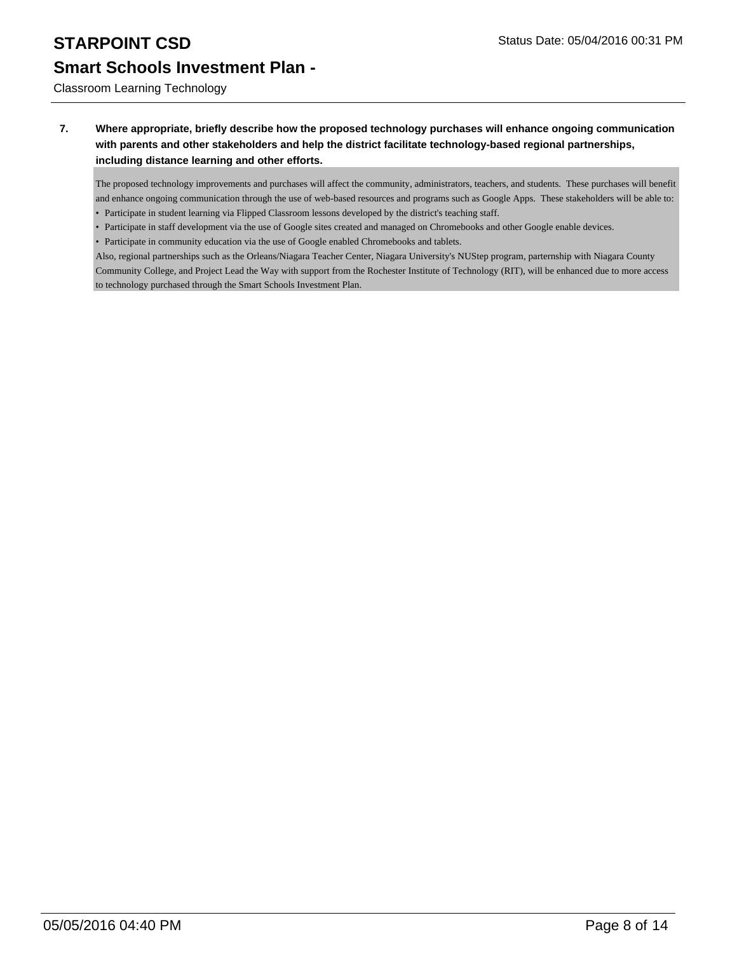Classroom Learning Technology

### **7. Where appropriate, briefly describe how the proposed technology purchases will enhance ongoing communication with parents and other stakeholders and help the district facilitate technology-based regional partnerships, including distance learning and other efforts.**

The proposed technology improvements and purchases will affect the community, administrators, teachers, and students. These purchases will benefit and enhance ongoing communication through the use of web-based resources and programs such as Google Apps. These stakeholders will be able to: • Participate in student learning via Flipped Classroom lessons developed by the district's teaching staff.

- Participate in staff development via the use of Google sites created and managed on Chromebooks and other Google enable devices.
- Participate in community education via the use of Google enabled Chromebooks and tablets.

Also, regional partnerships such as the Orleans/Niagara Teacher Center, Niagara University's NUStep program, parternship with Niagara County Community College, and Project Lead the Way with support from the Rochester Institute of Technology (RIT), will be enhanced due to more access to technology purchased through the Smart Schools Investment Plan.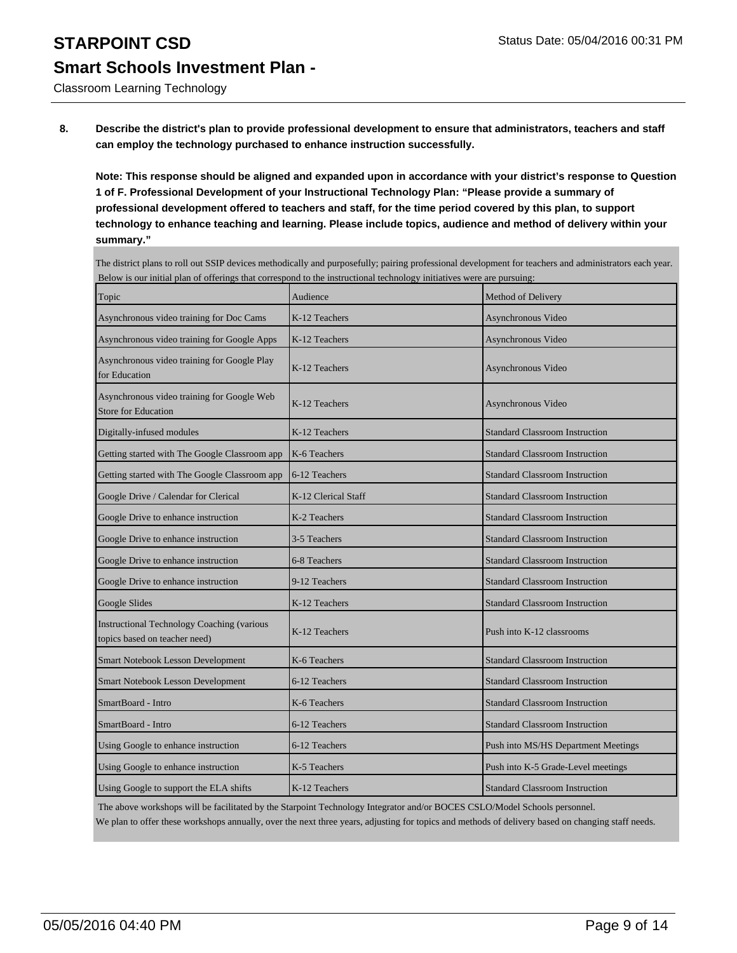Classroom Learning Technology

**8. Describe the district's plan to provide professional development to ensure that administrators, teachers and staff can employ the technology purchased to enhance instruction successfully.**

**Note: This response should be aligned and expanded upon in accordance with your district's response to Question 1 of F. Professional Development of your Instructional Technology Plan: "Please provide a summary of professional development offered to teachers and staff, for the time period covered by this plan, to support technology to enhance teaching and learning. Please include topics, audience and method of delivery within your summary."**

The district plans to roll out SSIP devices methodically and purposefully; pairing professional development for teachers and administrators each year. Below is our initial plan of offerings that correspond to the instructional technology initiatives were are pursuing:

| Topic                                                                              | Audience            | Method of Delivery                    |
|------------------------------------------------------------------------------------|---------------------|---------------------------------------|
| Asynchronous video training for Doc Cams                                           | K-12 Teachers       | Asynchronous Video                    |
| Asynchronous video training for Google Apps                                        | K-12 Teachers       | Asynchronous Video                    |
| Asynchronous video training for Google Play<br>for Education                       | K-12 Teachers       | Asynchronous Video                    |
| Asynchronous video training for Google Web<br><b>Store for Education</b>           | K-12 Teachers       | Asynchronous Video                    |
| Digitally-infused modules                                                          | K-12 Teachers       | <b>Standard Classroom Instruction</b> |
| Getting started with The Google Classroom app                                      | K-6 Teachers        | <b>Standard Classroom Instruction</b> |
| Getting started with The Google Classroom app                                      | 6-12 Teachers       | <b>Standard Classroom Instruction</b> |
| Google Drive / Calendar for Clerical                                               | K-12 Clerical Staff | <b>Standard Classroom Instruction</b> |
| Google Drive to enhance instruction                                                | K-2 Teachers        | <b>Standard Classroom Instruction</b> |
| Google Drive to enhance instruction                                                | 3-5 Teachers        | <b>Standard Classroom Instruction</b> |
| Google Drive to enhance instruction                                                | 6-8 Teachers        | <b>Standard Classroom Instruction</b> |
| Google Drive to enhance instruction                                                | 9-12 Teachers       | <b>Standard Classroom Instruction</b> |
| Google Slides                                                                      | K-12 Teachers       | <b>Standard Classroom Instruction</b> |
| <b>Instructional Technology Coaching (various</b><br>topics based on teacher need) | K-12 Teachers       | Push into K-12 classrooms             |
| Smart Notebook Lesson Development                                                  | K-6 Teachers        | <b>Standard Classroom Instruction</b> |
| Smart Notebook Lesson Development                                                  | 6-12 Teachers       | <b>Standard Classroom Instruction</b> |
| SmartBoard - Intro                                                                 | K-6 Teachers        | <b>Standard Classroom Instruction</b> |
| SmartBoard - Intro                                                                 | 6-12 Teachers       | <b>Standard Classroom Instruction</b> |
| Using Google to enhance instruction                                                | 6-12 Teachers       | Push into MS/HS Department Meetings   |
| Using Google to enhance instruction                                                | K-5 Teachers        | Push into K-5 Grade-Level meetings    |
| Using Google to support the ELA shifts                                             | K-12 Teachers       | <b>Standard Classroom Instruction</b> |

The above workshops will be facilitated by the Starpoint Technology Integrator and/or BOCES CSLO/Model Schools personnel.

We plan to offer these workshops annually, over the next three years, adjusting for topics and methods of delivery based on changing staff needs.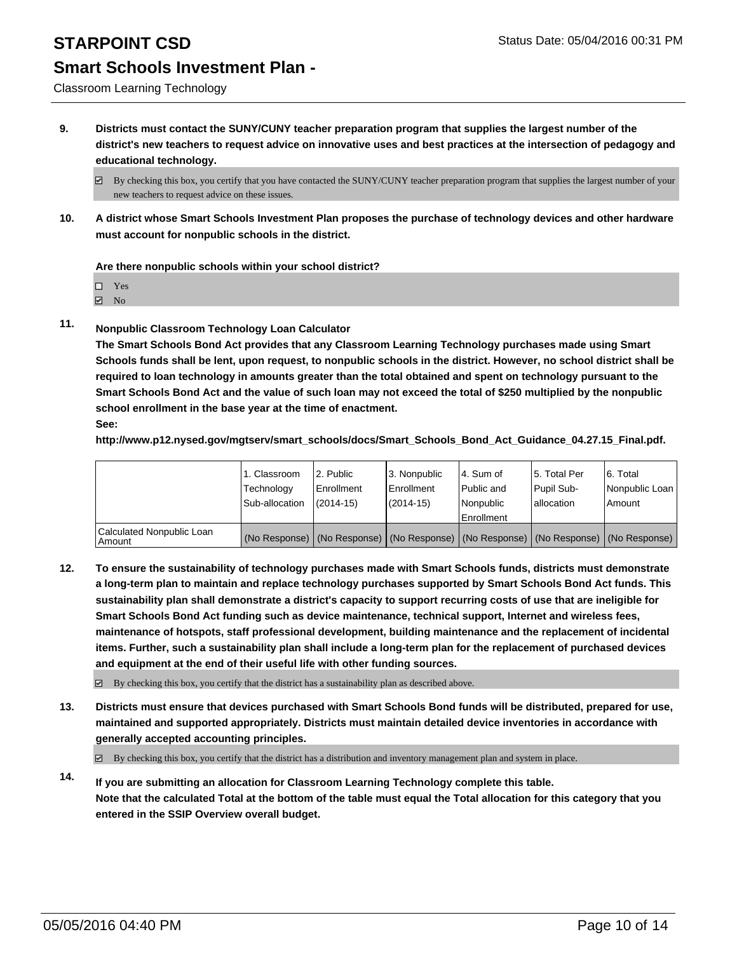Classroom Learning Technology

**9. Districts must contact the SUNY/CUNY teacher preparation program that supplies the largest number of the district's new teachers to request advice on innovative uses and best practices at the intersection of pedagogy and educational technology.**

**10. A district whose Smart Schools Investment Plan proposes the purchase of technology devices and other hardware must account for nonpublic schools in the district.**

**Are there nonpublic schools within your school district?**

Yes

**☑** No

**11. Nonpublic Classroom Technology Loan Calculator**

**The Smart Schools Bond Act provides that any Classroom Learning Technology purchases made using Smart Schools funds shall be lent, upon request, to nonpublic schools in the district. However, no school district shall be required to loan technology in amounts greater than the total obtained and spent on technology pursuant to the Smart Schools Bond Act and the value of such loan may not exceed the total of \$250 multiplied by the nonpublic school enrollment in the base year at the time of enactment. See:**

**http://www.p12.nysed.gov/mgtserv/smart\_schools/docs/Smart\_Schools\_Bond\_Act\_Guidance\_04.27.15\_Final.pdf.**

|                                       | 1. Classroom<br>Technology | 2. Public<br>Enrollment | 3. Nonpublic<br><b>Enrollment</b> | l 4. Sum of<br>l Public and | 15. Total Per<br>Pupil Sub-                                                                   | 6. Total<br>Nonpublic Loan |
|---------------------------------------|----------------------------|-------------------------|-----------------------------------|-----------------------------|-----------------------------------------------------------------------------------------------|----------------------------|
|                                       | Sub-allocation             | $(2014 - 15)$           | (2014-15)                         | Nonpublic<br>Enrollment     | lallocation                                                                                   | Amount                     |
| Calculated Nonpublic Loan<br>  Amount |                            |                         |                                   |                             | (No Response)   (No Response)   (No Response)   (No Response)   (No Response)   (No Response) |                            |

**12. To ensure the sustainability of technology purchases made with Smart Schools funds, districts must demonstrate a long-term plan to maintain and replace technology purchases supported by Smart Schools Bond Act funds. This sustainability plan shall demonstrate a district's capacity to support recurring costs of use that are ineligible for Smart Schools Bond Act funding such as device maintenance, technical support, Internet and wireless fees, maintenance of hotspots, staff professional development, building maintenance and the replacement of incidental items. Further, such a sustainability plan shall include a long-term plan for the replacement of purchased devices and equipment at the end of their useful life with other funding sources.**

 $\boxtimes$  By checking this box, you certify that the district has a sustainability plan as described above.

**13. Districts must ensure that devices purchased with Smart Schools Bond funds will be distributed, prepared for use, maintained and supported appropriately. Districts must maintain detailed device inventories in accordance with generally accepted accounting principles.**

 $\boxtimes$  By checking this box, you certify that the district has a distribution and inventory management plan and system in place.

**14. If you are submitting an allocation for Classroom Learning Technology complete this table. Note that the calculated Total at the bottom of the table must equal the Total allocation for this category that you entered in the SSIP Overview overall budget.**

 $\boxtimes$  By checking this box, you certify that you have contacted the SUNY/CUNY teacher preparation program that supplies the largest number of your new teachers to request advice on these issues.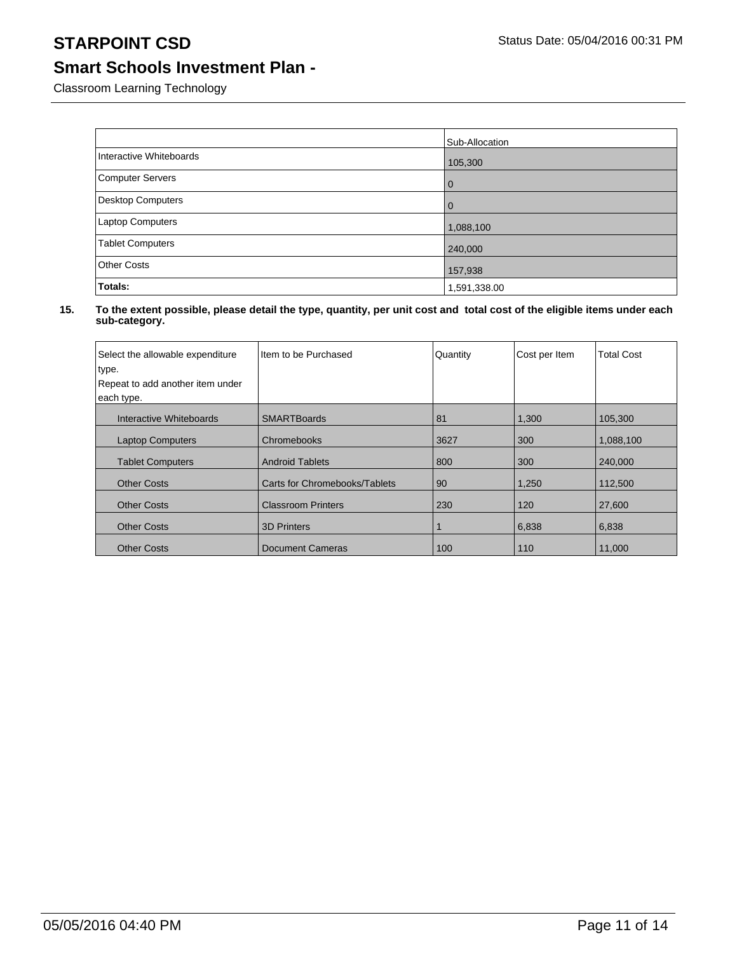Classroom Learning Technology

|                          | Sub-Allocation |
|--------------------------|----------------|
| Interactive Whiteboards  | 105,300        |
| <b>Computer Servers</b>  | l 0            |
| <b>Desktop Computers</b> | $\overline{0}$ |
| Laptop Computers         | 1,088,100      |
| <b>Tablet Computers</b>  | 240,000        |
| <b>Other Costs</b>       | 157,938        |
| Totals:                  | 1,591,338.00   |

| Select the allowable expenditure<br>type.<br>Repeat to add another item under<br>each type. | Item to be Purchased          | Quantity | Cost per Item | <b>Total Cost</b> |
|---------------------------------------------------------------------------------------------|-------------------------------|----------|---------------|-------------------|
| Interactive Whiteboards                                                                     | <b>SMARTBoards</b>            | 81       | 1,300         | 105,300           |
| <b>Laptop Computers</b>                                                                     | Chromebooks                   | 3627     | 300           | 1,088,100         |
| <b>Tablet Computers</b>                                                                     | <b>Android Tablets</b>        | 800      | 300           | 240,000           |
| <b>Other Costs</b>                                                                          | Carts for Chromebooks/Tablets | 90       | 1,250         | 112,500           |
| <b>Other Costs</b>                                                                          | <b>Classroom Printers</b>     | 230      | 120           | 27,600            |
| <b>Other Costs</b>                                                                          | <b>3D Printers</b>            |          | 6,838         | 6,838             |
| <b>Other Costs</b>                                                                          | <b>Document Cameras</b>       | 100      | 110           | 11,000            |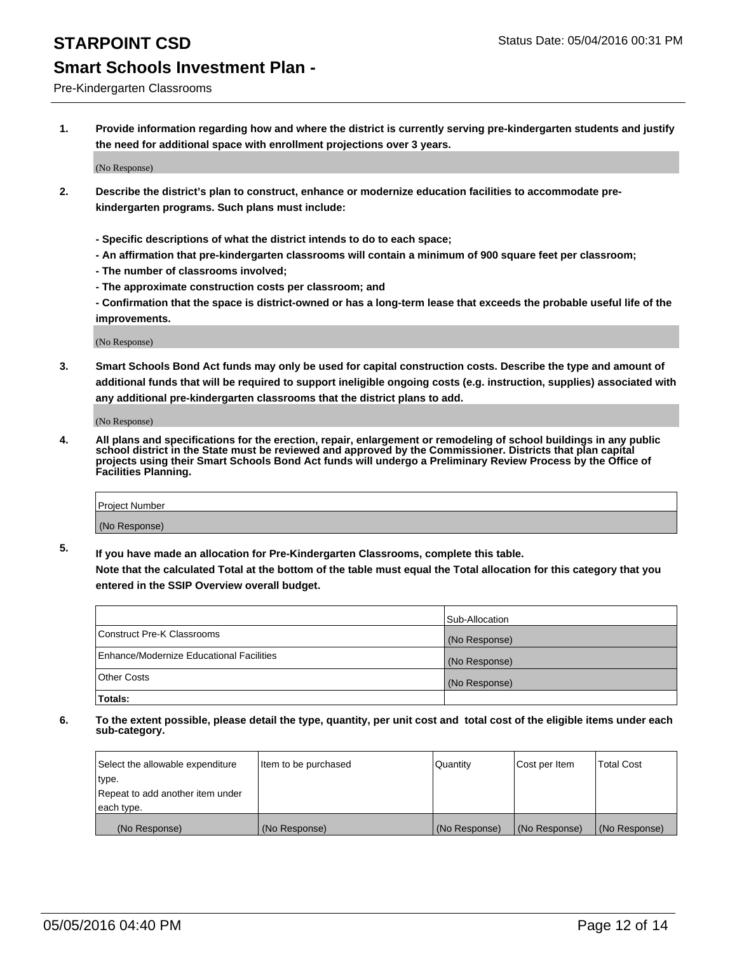### Pre-Kindergarten Classrooms

**1. Provide information regarding how and where the district is currently serving pre-kindergarten students and justify the need for additional space with enrollment projections over 3 years.**

(No Response)

- **2. Describe the district's plan to construct, enhance or modernize education facilities to accommodate prekindergarten programs. Such plans must include:**
	- **Specific descriptions of what the district intends to do to each space;**
	- **An affirmation that pre-kindergarten classrooms will contain a minimum of 900 square feet per classroom;**
	- **The number of classrooms involved;**
	- **The approximate construction costs per classroom; and**
	- **Confirmation that the space is district-owned or has a long-term lease that exceeds the probable useful life of the improvements.**

(No Response)

**3. Smart Schools Bond Act funds may only be used for capital construction costs. Describe the type and amount of additional funds that will be required to support ineligible ongoing costs (e.g. instruction, supplies) associated with any additional pre-kindergarten classrooms that the district plans to add.**

(No Response)

**4. All plans and specifications for the erection, repair, enlargement or remodeling of school buildings in any public school district in the State must be reviewed and approved by the Commissioner. Districts that plan capital projects using their Smart Schools Bond Act funds will undergo a Preliminary Review Process by the Office of Facilities Planning.**

| Project Number |  |
|----------------|--|
| (No Response)  |  |

**5. If you have made an allocation for Pre-Kindergarten Classrooms, complete this table. Note that the calculated Total at the bottom of the table must equal the Total allocation for this category that you**

**entered in the SSIP Overview overall budget.**

|                                          | Sub-Allocation |
|------------------------------------------|----------------|
| Construct Pre-K Classrooms               | (No Response)  |
| Enhance/Modernize Educational Facilities | (No Response)  |
| Other Costs                              | (No Response)  |
| Totals:                                  |                |

| Select the allowable expenditure | Item to be purchased | Quantity      | Cost per Item | <b>Total Cost</b> |
|----------------------------------|----------------------|---------------|---------------|-------------------|
| type.                            |                      |               |               |                   |
| Repeat to add another item under |                      |               |               |                   |
| each type.                       |                      |               |               |                   |
| (No Response)                    | (No Response)        | (No Response) | (No Response) | (No Response)     |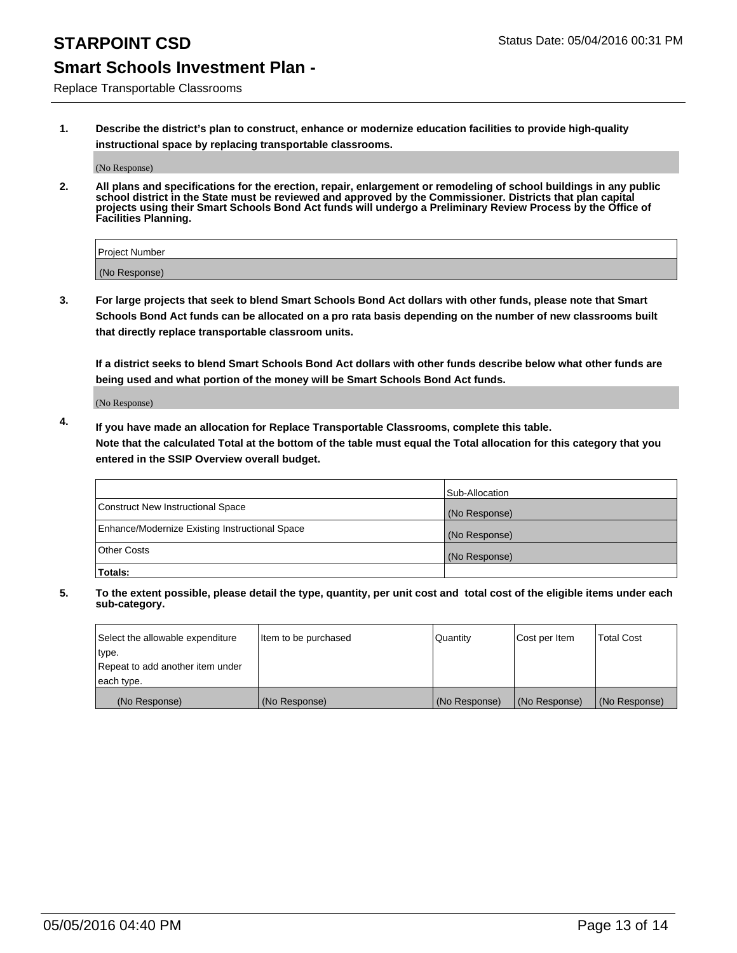Replace Transportable Classrooms

**1. Describe the district's plan to construct, enhance or modernize education facilities to provide high-quality instructional space by replacing transportable classrooms.**

(No Response)

**2. All plans and specifications for the erection, repair, enlargement or remodeling of school buildings in any public school district in the State must be reviewed and approved by the Commissioner. Districts that plan capital projects using their Smart Schools Bond Act funds will undergo a Preliminary Review Process by the Office of Facilities Planning.**

| Project Number |  |
|----------------|--|
| (No Response)  |  |

**3. For large projects that seek to blend Smart Schools Bond Act dollars with other funds, please note that Smart Schools Bond Act funds can be allocated on a pro rata basis depending on the number of new classrooms built that directly replace transportable classroom units.**

**If a district seeks to blend Smart Schools Bond Act dollars with other funds describe below what other funds are being used and what portion of the money will be Smart Schools Bond Act funds.**

(No Response)

**4. If you have made an allocation for Replace Transportable Classrooms, complete this table. Note that the calculated Total at the bottom of the table must equal the Total allocation for this category that you entered in the SSIP Overview overall budget.**

|                                                | Sub-Allocation |
|------------------------------------------------|----------------|
| Construct New Instructional Space              | (No Response)  |
| Enhance/Modernize Existing Instructional Space | (No Response)  |
| <b>Other Costs</b>                             | (No Response)  |
| Totals:                                        |                |

| Select the allowable expenditure | Item to be purchased | Quantity      | Cost per Item | <b>Total Cost</b> |
|----------------------------------|----------------------|---------------|---------------|-------------------|
| type.                            |                      |               |               |                   |
| Repeat to add another item under |                      |               |               |                   |
| each type.                       |                      |               |               |                   |
| (No Response)                    | (No Response)        | (No Response) | (No Response) | (No Response)     |